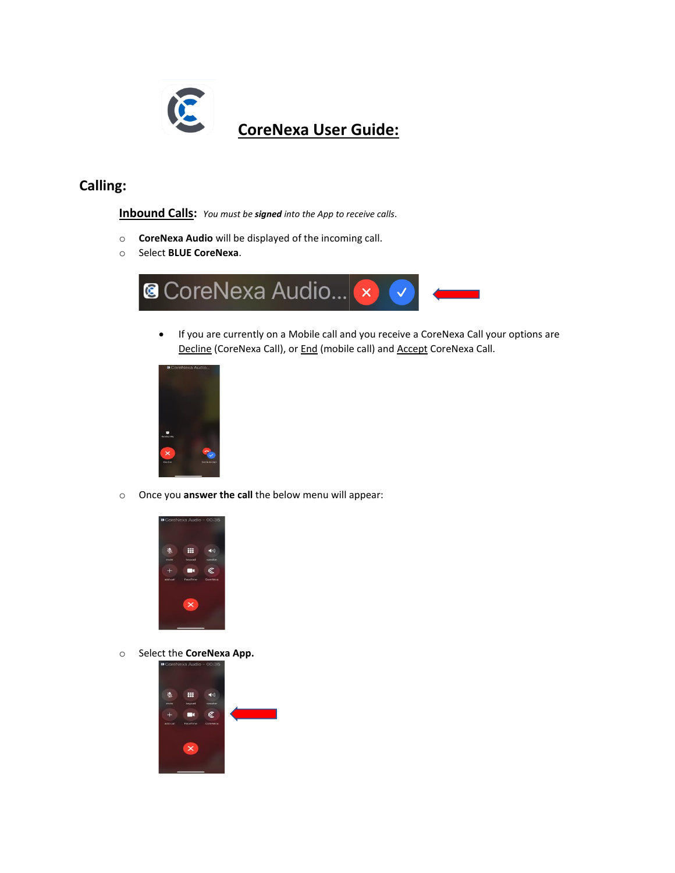

# **CoreNexa User Guide:**

## **Calling:**

**Inbound Calls:** *You must be signed into the App to receive calls*.

- o **CoreNexa Audio** will be displayed of the incoming call.
- o Select **BLUE CoreNexa**.



• If you are currently on a Mobile call and you receive a CoreNexa Call your options are Decline (CoreNexa Call), or End (mobile call) and Accept CoreNexa Call.



o Once you **answer the call** the below menu will appear:



o Select the **CoreNexa App.**

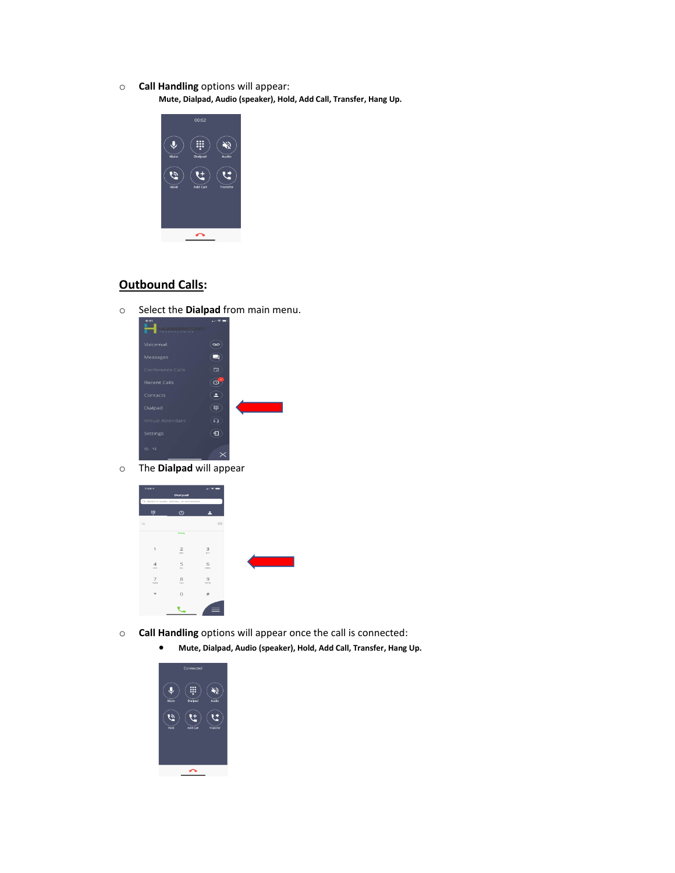o **Call Handling** options will appear:

**Mute, Dialpad, Audio (speaker), Hold, Add Call, Transfer, Hang Up.**



#### **Outbound Calls:**

o Select the **Dialpad** from main menu.



o The **Dialpad** will appear

| $7:46$ $-$             |                                     | $x + 2$                |
|------------------------|-------------------------------------|------------------------|
|                        | <b>Dialpad</b>                      |                        |
|                        | Q, Search name, phone, or extension |                        |
| W                      | $\circ$                             |                        |
| $\sim$ $\sim$          |                                     | $\overline{\text{C3}}$ |
|                        | Roady                               |                        |
|                        |                                     |                        |
| $\overline{1}$         | $\overline{\mathbf{z}}$<br>ABC      | 3<br>DEF               |
| $\overline{4}$<br>ow   | 5<br>po.                            | 6<br>MNO               |
|                        |                                     |                        |
| $\overline{7}$<br>PORS | 8<br>TUV.                           | 9<br>weeg              |
| $\star$                | $\circ$                             | #                      |
|                        |                                     |                        |
|                        |                                     |                        |

- o **Call Handling** options will appear once the call is connected:
	- **Mute, Dialpad, Audio (speaker), Hold, Add Call, Transfer, Hang Up.**

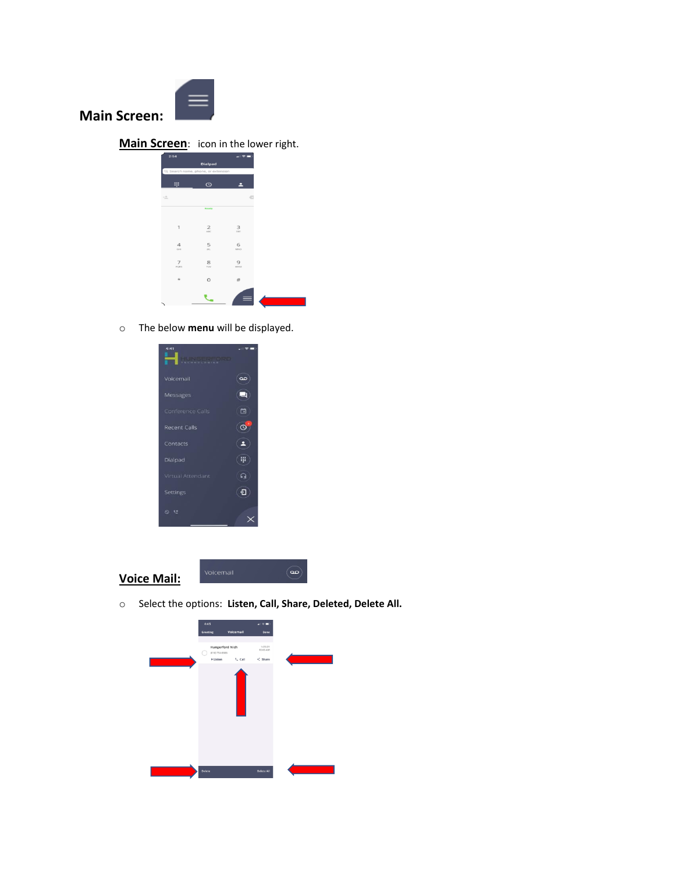

**Main Screen:**

**Main Screen**: icon in the lower right.

| 2:64                                |                | ╌        |
|-------------------------------------|----------------|----------|
|                                     | Dialpad        |          |
| Q. Search name, phone, or extension |                |          |
| W                                   | $\circ$        |          |
|                                     |                |          |
| $\frac{1}{2}$                       |                | ø        |
|                                     | Ready          |          |
|                                     |                |          |
| 1                                   | $\overline{2}$ | 3        |
|                                     | ABC            | ore      |
| $\boldsymbol{\Delta}$               | 5              | 6        |
| G(4)                                | pa.            | MNO      |
| 7                                   | 8              | 9        |
| PORS                                | TUV            | woorz    |
| $\star$                             | $\circ$        | #        |
|                                     |                |          |
|                                     |                | $\equiv$ |
|                                     |                |          |

o The below **menu** will be displayed.



**Voice Mail:**



o Select the options: **Listen, Call, Share, Deleted, Delete All.**

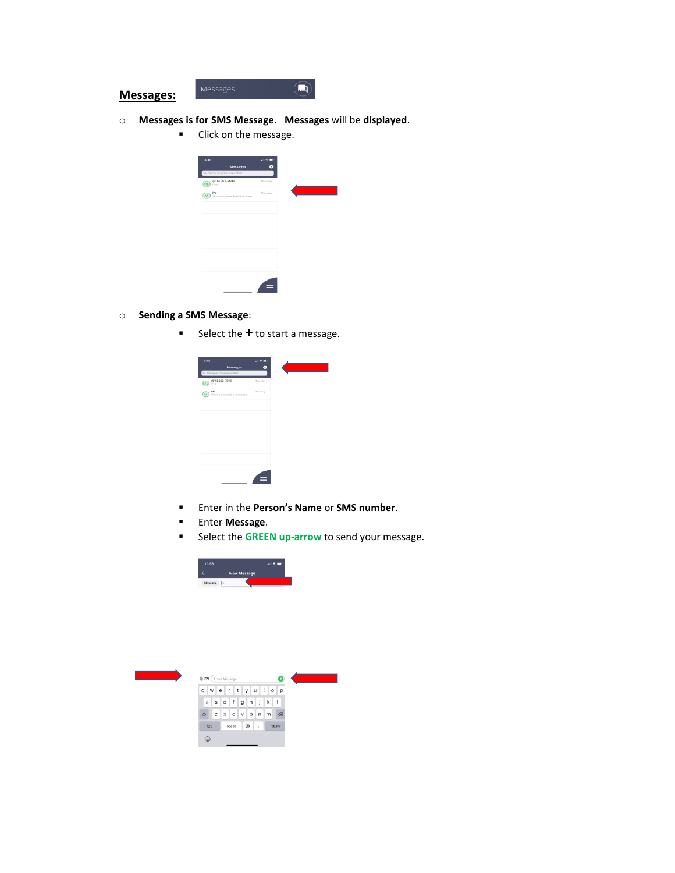

- o **Messages is for SMS Message. Messages** will be **displayed**.
	- Click on the message.



- o **Sending a SMS Message**:
	- Select the **+** to start a message.

| Messages                                | Ŧ        |  |
|-----------------------------------------|----------|--|
| Q. Name or phone number                 |          |  |
| (616) 262-7586<br>Hola                  | Thursday |  |
| Me<br>This is an example of a sms text. | Thursday |  |
|                                         |          |  |
|                                         |          |  |
|                                         |          |  |
|                                         |          |  |
|                                         |          |  |
|                                         |          |  |
|                                         |          |  |
|                                         |          |  |
|                                         |          |  |
|                                         |          |  |

- Enter in the **Person's Name** or **SMS number**.
- Enter **Message**.
- Select the **GREEN up-arrow** to send your message.



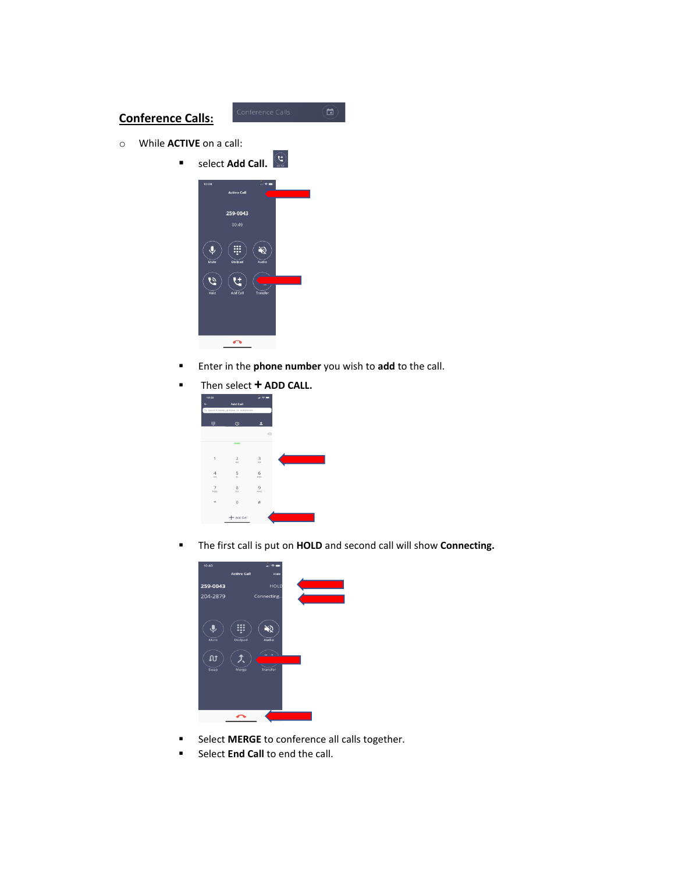# **Conference Calls:**

- o While **ACTIVE** on a call:
	- select **Add Call.**



- Enter in the **phone number** you wish to **add** to the call.
- Then select **+ ADD CALL.**

| 10:29          |                                     | ân și |
|----------------|-------------------------------------|-------|
|                | <b>Add Call</b>                     |       |
|                | Q, Search name, phone, or extension |       |
|                |                                     |       |
| W              | $\circ$                             |       |
|                |                                     | c     |
|                | Ready                               |       |
|                |                                     |       |
| $\mathbf{1}$   | $\overline{2}$                      | 3     |
|                | wc                                  | ou    |
| $\overline{4}$ | 5                                   | 6     |
| $6 - 4$        | $\overline{\mathbf{X}}$             | MNO   |
| 7              | 8                                   | 9     |
| ross           | TUV                                 | word  |
| ×              | $\circ$                             | $\#$  |
|                |                                     |       |
|                | + Add Call                          |       |

▪ The first call is put on **HOLD** and second call will show **Connecting.**



- Select **MERGE** to conference all calls together.
- **EXECT:** Select **End Call** to end the call.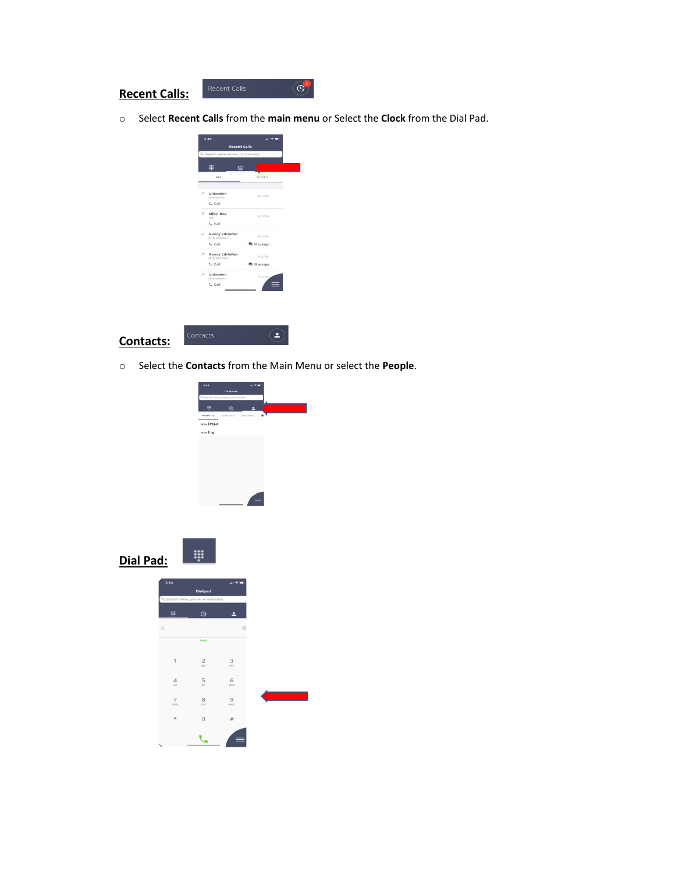### **Recent Calls:**

o Select **Recent Calls** from the **main menu** or Select the **Clock** from the Dial Pad.

 $\circledcirc$ 





o Select the **Contacts** from the Main Menu or select the **People**.

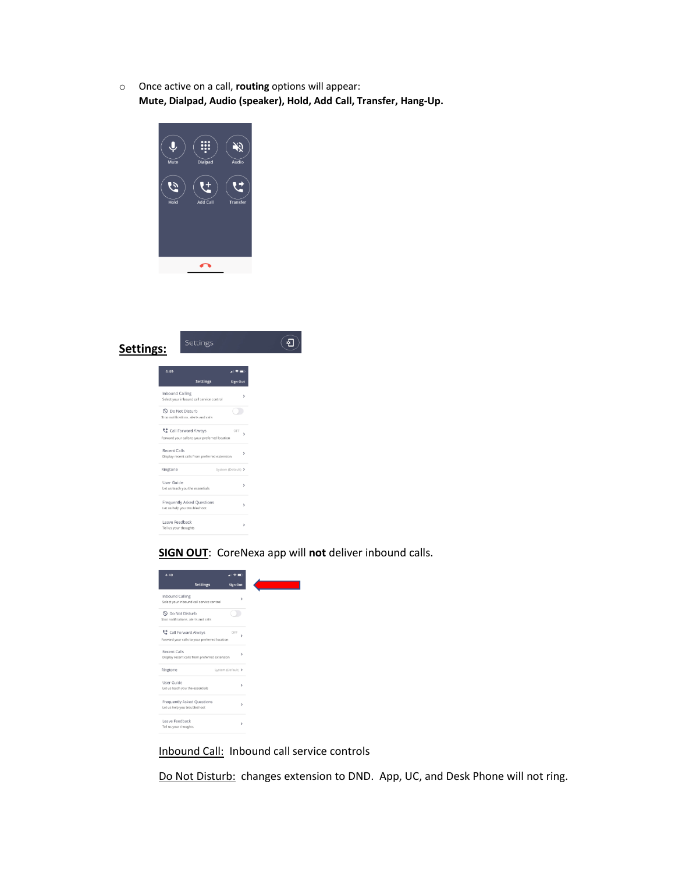o Once active on a call, **routing** options will appear: **Mute, Dialpad, Audio (speaker), Hold, Add Call, Transfer, Hang-Up.**



| Settings: | Settings                                                             |                    |               |
|-----------|----------------------------------------------------------------------|--------------------|---------------|
|           | 4:49                                                                 | 4 マミ               |               |
|           | <b>Settings</b>                                                      | <b>Sign Out</b>    |               |
|           | Inbound Calling<br>Select your inbound call service control          |                    | >             |
|           | O Do Not Disturb<br>Stop notifications, alerts and calls             |                    |               |
|           | Call Forward Always<br>Forward your calls to your preferred location | OFF                | $\mathcal{L}$ |
|           | <b>Recent Calls</b><br>Display recent calls from preferred extension |                    | $\rightarrow$ |
|           | Ringtone                                                             | System (Default) > |               |
|           | User Guide<br>Let us teach you the essentials                        |                    | $\rightarrow$ |
|           | Frequently Asked Questions<br>Let us help you troubleshoot           |                    | $\rightarrow$ |
|           | Leave Feedback<br>Tell us your thoughts                              |                    | $\rightarrow$ |
|           |                                                                      |                    |               |

**SIGN OUT**:CoreNexa app will **not** deliver inbound calls.

| 4:49                                                                 |                    |               |
|----------------------------------------------------------------------|--------------------|---------------|
| <b>Settings</b>                                                      | <b>Sign Out</b>    |               |
| Inbound Calling<br>Select your inbound call service control          |                    | $\mathbf{r}$  |
| N Do Not Disturb<br>Stop notifications, alerts and calls             |                    |               |
| Call Forward Always<br>Forward your calls to your preferred location | OFF                | ١             |
| Recent Calls<br>Display recent calls from preferred extension        |                    | >             |
| Ringtone                                                             | System (Default) > |               |
| User Guide<br>Let us teach you the essentials                        |                    | $\mathcal{P}$ |
| Frequently Asked Questions<br>Let us help you troubleshoot           |                    | $\mathcal{P}$ |
| Leave Feedback<br>Tell us your thoughts                              |                    | >             |

Inbound Call: Inbound call service controls

Do Not Disturb: changes extension to DND. App, UC, and Desk Phone will not ring.